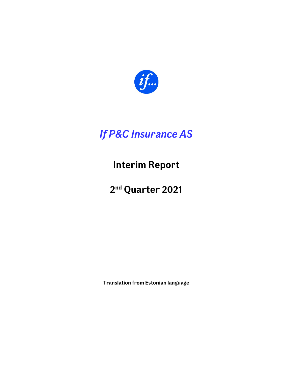

# If P&C Insurance AS

Interim Report

2nd Quarter 2021

Translation from Estonian language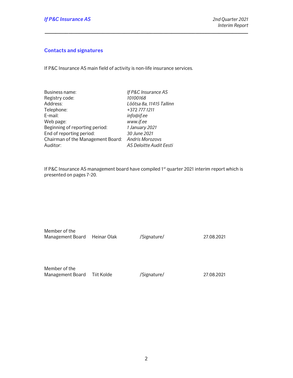## Contacts and signatures

If P&C Insurance AS main field of activity is non-life insurance services.

| If P&C Insurance AS                               |
|---------------------------------------------------|
| 10100168                                          |
| Lõõtsa 8a, 11415 Tallinn                          |
| +372 777 1211                                     |
| info@if.ee                                        |
| www.if.ee                                         |
| 1 January 2021                                    |
| 30 June 2021                                      |
| Chairman of the Management Board: Andris Morozovs |
| AS Deloitte Audit Eesti                           |
|                                                   |

If P&C Insurance AS management board have compiled 1<sup>st</sup> quarter 2021 interim report which is presented on pages 7-20.

\_\_\_\_\_\_\_\_\_\_\_\_\_\_\_\_\_\_\_\_\_\_\_\_\_\_\_\_\_\_\_\_\_\_\_\_\_\_\_\_\_\_\_\_\_\_\_\_\_\_\_\_\_\_\_\_\_\_\_\_\_\_\_\_\_\_\_\_\_\_\_\_\_\_\_\_\_

| Member of the                |  |
|------------------------------|--|
| Management Board Heinar Olak |  |

/Signature/ 27.08.2021

Member of the Management Board Tiit Kolde /Signature/ 27.08.2021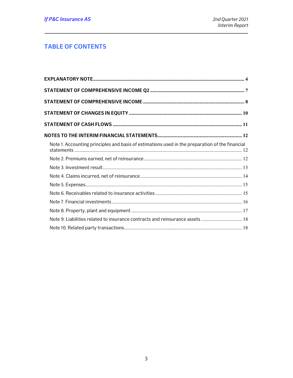# **TABLE OF CONTENTS**

| Note 1. Accounting principles and basis of estimations used in the preparation of the financial |  |
|-------------------------------------------------------------------------------------------------|--|
|                                                                                                 |  |
|                                                                                                 |  |
|                                                                                                 |  |
|                                                                                                 |  |
|                                                                                                 |  |
|                                                                                                 |  |
|                                                                                                 |  |
| Note 9. Liabilities related to insurance contracts and reinsurance assets  18                   |  |
|                                                                                                 |  |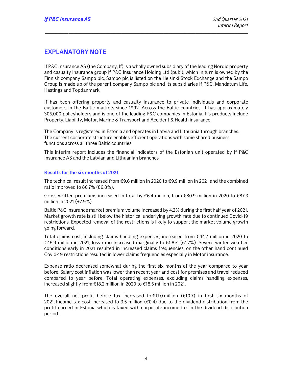## EXPLANATORY NOTE

If P&C Insurance AS (the Company, If) is a wholly owned subsidiary of the leading Nordic property and casualty Insurance group If P&C Insurance Holding Ltd (publ), which in turn is owned by the Finnish company Sampo plc. Sampo plc is listed on the Helsinki Stock Exchange and the Sampo Group is made up of the parent company Sampo plc and its subsidiaries If P&C, Mandatum Life, Hastings and Topdanmark.

\_\_\_\_\_\_\_\_\_\_\_\_\_\_\_\_\_\_\_\_\_\_\_\_\_\_\_\_\_\_\_\_\_\_\_\_\_\_\_\_\_\_\_\_\_\_\_\_\_\_\_\_\_\_\_\_\_\_\_\_\_\_\_\_\_\_\_\_\_\_\_\_\_\_\_\_\_

If has been offering property and casualty insurance to private individuals and corporate customers in the Baltic markets since 1992. Across the Baltic countries, If has approximately 305,000 policyholders and is one of the leading P&C companies in Estonia. If's products include Property, Liability, Motor, Marine & Transport and Accident & Health insurance.

The Company is registered in Estonia and operates in Latvia and Lithuania through branches. The current corporate structure enables efficient operations with some shared business functions across all three Baltic countries.

This interim report includes the financial indicators of the Estonian unit operated by If P&C Insurance AS and the Latvian and Lithuanian branches.

#### Results for the six months of 2021

The technical result increased from  $\epsilon$ 9.6 million in 2020 to  $\epsilon$ 9.9 million in 2021 and the combined ratio improved to 86.7% (86.8%).

Gross written premiums increased in total by  $\epsilon$ 6.4 million, from  $\epsilon$ 80.9 million in 2020 to  $\epsilon$ 87.3 million in 2021 (+7.9%).

Baltic P&C insurance market premium volume increased by 4.2% during the first half year of 2021. Market growth rate is still below the historical underlying growth rate due to continued Covid-19 restrictions. Expected removal of the restrictions is likely to support the market volume growth going forward.

Total claims cost, including claims handling expenses, increased from €44.7 million in 2020 to €45.9 million in 2021, loss ratio increased marginally to 61.8% (61.7%). Severe winter weather conditions early in 2021 resulted in increased claims frequencies, on the other hand continued Covid-19 restrictions resulted in lower claims frequencies especially in Motor insurance.

Expense ratio decreased somewhat during the first six months of the year compared to year before. Salary cost inflation was lower than recent year and cost for premises and travel reduced compared to year before. Total operating expenses, excluding claims handling expenses, increased slightly from €18.2 million in 2020 to €18.5 million in 2021.

The overall net profit before tax increased to  $E$ 11.0 million ( $E$ 10.7) in first six months of 2021. Income tax cost increased to 3.5 million  $(\epsilon 0.4)$  due to the dividend distribution from the profit earned in Estonia which is taxed with corporate income tax in the dividend distribution period.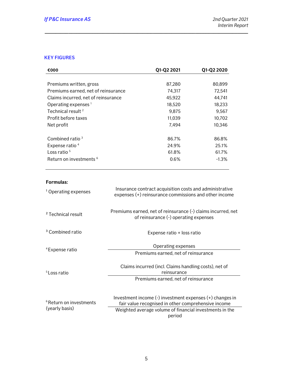## KEY FIGURES

| €000                                | Q1-Q2 2021 | Q1-Q2 2020 |  |
|-------------------------------------|------------|------------|--|
|                                     |            |            |  |
| Premiums written, gross             | 87,280     | 80,899     |  |
| Premiums earned, net of reinsurance | 74,317     | 72,541     |  |
| Claims incurred, net of reinsurance | 45,922     | 44,741     |  |
| Operating expenses $1$              | 18,520     | 18,233     |  |
| Technical result <sup>2</sup>       | 9,875      | 9,567      |  |
| Profit before taxes                 | 11,039     | 10,702     |  |
| Net profit                          | 7,494      | 10,346     |  |
| Combined ratio $3$                  | 86.7%      | 86.8%      |  |
| Expense ratio <sup>4</sup>          | 24.9%      | 25.1%      |  |
| Loss ratio $5$                      | 61.8%      | 61.7%      |  |
| Return on investments <sup>6</sup>  | 0.6%       | $-1.3%$    |  |
|                                     |            |            |  |

\_\_\_\_\_\_\_\_\_\_\_\_\_\_\_\_\_\_\_\_\_\_\_\_\_\_\_\_\_\_\_\_\_\_\_\_\_\_\_\_\_\_\_\_\_\_\_\_\_\_\_\_\_\_\_\_\_\_\_\_\_\_\_\_\_\_\_\_\_\_\_\_\_\_\_\_\_

## Formulas:

| <sup>1</sup> Operating expenses                      | Insurance contract acquisition costs and administrative<br>expenses (+) reinsurance commissions and other income                                                                         |
|------------------------------------------------------|------------------------------------------------------------------------------------------------------------------------------------------------------------------------------------------|
| <sup>2</sup> Technical result                        | Premiums earned, net of reinsurance (-) claims incurred, net<br>of reinsurance (-) operating expenses                                                                                    |
| <sup>3</sup> Combined ratio                          | Expense ratio + loss ratio                                                                                                                                                               |
| <sup>4</sup> Expense ratio                           | Operating expenses<br>Premiums earned, net of reinsurance                                                                                                                                |
| <sup>5</sup> Loss ratio                              | Claims incurred (incl. Claims handling costs), net of<br>reinsurance<br>Premiums earned, net of reinsurance                                                                              |
| <sup>6</sup> Return on investments<br>(yearly basis) | Investment income $(-)$ investment expenses $(+)$ changes in<br>fair value recognised in other comprehensive income<br>Weighted average volume of financial investments in the<br>period |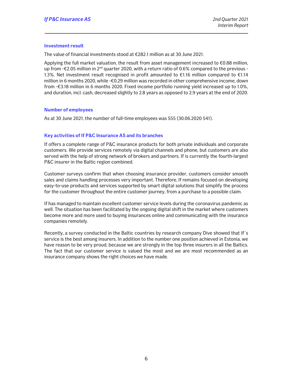#### Investment result

The value of financial investments stood at €282.1 million as at 30 June 2021.

Applying the full market valuation, the result from asset management increased to €0.88 million, up from -€2.05 million in 2<sup>nd</sup> quarter 2020, with a return ratio of 0.6% compared to the previous -1.3%. Net investment result recognised in profit amounted to €1.16 million compared to €1.14 million in 6 months 2020, while -€0.29 million was recorded in other comprehensive income, down from -€3.18 million in 6 months 2020. Fixed income portfolio running yield increased up to 1.0%, and duration, incl. cash, decreased slightly to 2.8 years as opposed to 2.9 years at the end of 2020.

\_\_\_\_\_\_\_\_\_\_\_\_\_\_\_\_\_\_\_\_\_\_\_\_\_\_\_\_\_\_\_\_\_\_\_\_\_\_\_\_\_\_\_\_\_\_\_\_\_\_\_\_\_\_\_\_\_\_\_\_\_\_\_\_\_\_\_\_\_\_\_\_\_\_\_\_\_

#### Number of employees

As at 30 June 2021, the number of full-time employees was 555 (30.06.2020 541).

#### Key activities of If P&C Insurance AS and its branches

If offers a complete range of P&C insurance products for both private individuals and corporate customers. We provide services remotely via digital channels and phone, but customers are also served with the help of strong network of brokers and partners. If is currently the fourth-largest P&C insurer in the Baltic region combined.

Customer surveys confirm that when choosing insurance provider, customers consider smooth sales and claims handling processes very important. Therefore, If remains focused on developing easy-to-use products and services supported by smart digital solutions that simplify the process for the customer throughout the entire customer journey, from a purchase to a possible claim.

If has managed to maintain excellent customer service levels during the coronavirus pandemic as well. The situation has been facilitated by the ongoing digital shift in the market where customers become more and more used to buying insurances online and communicating with the insurance companies remotely.

Recently, a survey conducted in the Baltic countries by research company Dive showed that If's service is the best among insurers. In addition to the number one position achieved in Estonia, we have reason to be very proud, because we are strongly in the top three insurers in all the Baltics. The fact that our customer service is valued the most and we are most recommended as an insurance company shows the right choices we have made.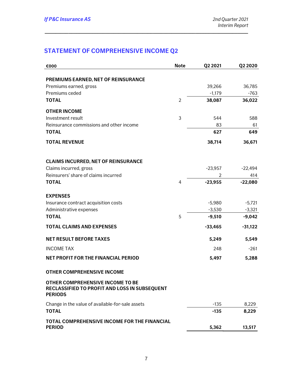# STATEMENT OF COMPREHENSIVE INCOME Q2

| €000                                                                                                | <b>Note</b>    | Q2 2021   | Q2 2020   |
|-----------------------------------------------------------------------------------------------------|----------------|-----------|-----------|
|                                                                                                     |                |           |           |
| PREMIUMS EARNED, NET OF REINSURANCE                                                                 |                |           |           |
| Premiums earned, gross                                                                              |                | 39,266    | 36,785    |
| Premiums ceded                                                                                      |                | $-1,179$  | $-763$    |
| <b>TOTAL</b>                                                                                        | $\overline{2}$ | 38,087    | 36,022    |
| <b>OTHER INCOME</b>                                                                                 |                |           |           |
| Investment result                                                                                   | 3              | 544       | 588       |
| Reinsurance commissions and other income                                                            |                | 83        | 61        |
| <b>TOTAL</b>                                                                                        |                | 627       | 649       |
| <b>TOTAL REVENUE</b>                                                                                |                | 38,714    | 36,671    |
| <b>CLAIMS INCURRED, NET OF REINSURANCE</b>                                                          |                |           |           |
| Claims incurred, gross                                                                              |                | $-23,957$ | $-22,494$ |
| Reinsurers' share of claims incurred                                                                |                | 2         | 414       |
| <b>TOTAL</b>                                                                                        | 4              | $-23,955$ | $-22,080$ |
| <b>EXPENSES</b>                                                                                     |                |           |           |
| Insurance contract acquisition costs                                                                |                | $-5,980$  | $-5,721$  |
| Administrative expenses                                                                             |                | $-3,530$  | $-3,321$  |
| <b>TOTAL</b>                                                                                        | 5              | $-9,510$  | $-9,042$  |
| <b>TOTAL CLAIMS AND EXPENSES</b>                                                                    |                | $-33,465$ | $-31,122$ |
| <b>NET RESULT BEFORE TAXES</b>                                                                      |                | 5,249     | 5,549     |
| <b>INCOME TAX</b>                                                                                   |                | 248       | $-261$    |
| <b>NET PROFIT FOR THE FINANCIAL PERIOD</b>                                                          |                | 5,497     | 5,288     |
| <b>OTHER COMPREHENSIVE INCOME</b>                                                                   |                |           |           |
| OTHER COMPREHENSIVE INCOME TO BE<br>RECLASSIFIED TO PROFIT AND LOSS IN SUBSEQUENT<br><b>PERIODS</b> |                |           |           |
| Change in the value of available-for-sale assets                                                    |                | $-135$    | 8,229     |
| <b>TOTAL</b>                                                                                        |                | $-135$    | 8,229     |
| <b>TOTAL COMPREHENSIVE INCOME FOR THE FINANCIAL</b><br><b>PERIOD</b>                                |                | 5,362     | 13,517    |
|                                                                                                     |                |           |           |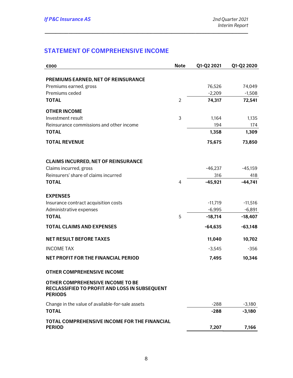# STATEMENT OF COMPREHENSIVE INCOME

| €000                                                                                                | <b>Note</b>    | Q1-Q2 2021 | Q1-Q2 2020 |
|-----------------------------------------------------------------------------------------------------|----------------|------------|------------|
|                                                                                                     |                |            |            |
| PREMIUMS EARNED, NET OF REINSURANCE                                                                 |                |            |            |
| Premiums earned, gross                                                                              |                | 76,526     | 74,049     |
| Premiums ceded                                                                                      |                | $-2,209$   | $-1,508$   |
| <b>TOTAL</b>                                                                                        | $\overline{2}$ | 74,317     | 72,541     |
| <b>OTHER INCOME</b>                                                                                 |                |            |            |
| Investment result                                                                                   | 3              | 1,164      | 1,135      |
| Reinsurance commissions and other income                                                            |                | 194        | 174        |
| <b>TOTAL</b>                                                                                        |                | 1,358      | 1,309      |
| <b>TOTAL REVENUE</b>                                                                                |                | 75,675     | 73,850     |
| <b>CLAIMS INCURRED, NET OF REINSURANCE</b>                                                          |                |            |            |
| Claims incurred, gross                                                                              |                | $-46,237$  | $-45,159$  |
| Reinsurers' share of claims incurred                                                                |                | 316        | 418        |
| <b>TOTAL</b>                                                                                        | 4              | $-45,921$  | $-44,741$  |
| <b>EXPENSES</b>                                                                                     |                |            |            |
| Insurance contract acquisition costs                                                                |                | $-11,719$  | $-11,516$  |
| Administrative expenses                                                                             |                | $-6,995$   | $-6,891$   |
| <b>TOTAL</b>                                                                                        | 5              | $-18,714$  | $-18,407$  |
| <b>TOTAL CLAIMS AND EXPENSES</b>                                                                    |                | $-64,635$  | $-63,148$  |
| <b>NET RESULT BEFORE TAXES</b>                                                                      |                | 11,040     | 10,702     |
| <b>INCOME TAX</b>                                                                                   |                | $-3,545$   | $-356$     |
| <b>NET PROFIT FOR THE FINANCIAL PERIOD</b>                                                          |                | 7,495      | 10,346     |
| <b>OTHER COMPREHENSIVE INCOME</b>                                                                   |                |            |            |
| OTHER COMPREHENSIVE INCOME TO BE<br>RECLASSIFIED TO PROFIT AND LOSS IN SUBSEQUENT<br><b>PERIODS</b> |                |            |            |
| Change in the value of available-for-sale assets                                                    |                | $-288$     | $-3,180$   |
| <b>TOTAL</b>                                                                                        |                | $-288$     | $-3,180$   |
| <b>TOTAL COMPREHENSIVE INCOME FOR THE FINANCIAL</b><br><b>PERIOD</b>                                |                | 7,207      | 7,166      |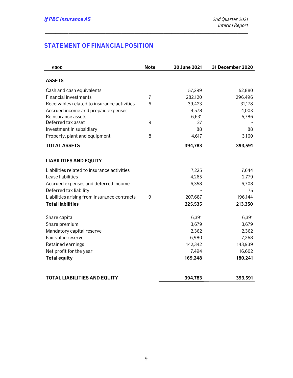# STATEMENT OF FINANCIAL POSITION

| €000                                         | <b>Note</b>    | 30 June 2021 | 31 December 2020 |
|----------------------------------------------|----------------|--------------|------------------|
| <b>ASSETS</b>                                |                |              |                  |
| Cash and cash equivalents                    |                | 57,299       | 52,880           |
| <b>Financial investments</b>                 | $\overline{7}$ | 282,120      | 296,496          |
| Receivables related to insurance activities  | 6              | 39,423       | 31,178           |
| Accrued income and prepaid expenses          |                | 4,578        | 4,003            |
| Reinsurance assets                           |                | 6,631        | 5,786            |
| Deferred tax asset                           | 9              | 27           |                  |
| Investment in subsidiary                     |                | 88           | 88               |
| Property, plant and equipment                | 8              | 4,617        | 3,160            |
| <b>TOTAL ASSETS</b>                          |                | 394,783      | 393,591          |
| <b>LIABILITIES AND EQUITY</b>                |                |              |                  |
| Liabilities related to insurance activities  |                | 7,225        | 7,644            |
| Lease liabilities                            |                | 4,265        | 2,779            |
| Accrued expenses and deferred income         |                | 6,358        | 6,708            |
| Deferred tax liability                       |                |              | 75               |
| Liabilities arising from insurance contracts | 9              | 207,687      | 196,144          |
| <b>Total liabilities</b>                     |                | 225,535      | 213,350          |
| Share capital                                |                | 6,391        | 6,391            |
| Share premium                                |                | 3,679        | 3,679            |
| Mandatory capital reserve                    |                | 2,362        | 2,362            |
| Fair value reserve                           |                | 6,980        | 7,268            |
| Retained earnings                            |                | 142,342      | 143,939          |
| Net profit for the year                      |                | 7,494        | 16,602           |
| <b>Total equity</b>                          |                | 169,248      | 180,241          |
| <b>TOTAL LIABILITIES AND EQUITY</b>          |                | 394,783      | 393,591          |
|                                              |                |              |                  |

|  | TO TAL LIADILITIES AND LOUTH |  |
|--|------------------------------|--|
|  |                              |  |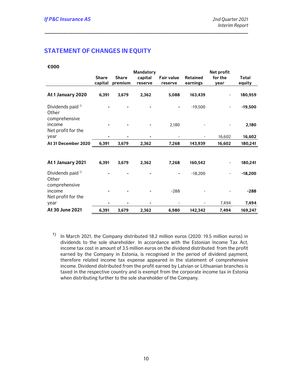## STATEMENT OF CHANGES IN EQUITY

|                                                        |                         |                         | <b>Mandatory</b>   |                              |                             | Net profit      |                        |
|--------------------------------------------------------|-------------------------|-------------------------|--------------------|------------------------------|-----------------------------|-----------------|------------------------|
|                                                        | <b>Share</b><br>capital | <b>Share</b><br>premium | capital<br>reserve | <b>Fair value</b><br>reserve | <b>Retained</b><br>earnings | for the<br>year | <b>Total</b><br>equity |
| At 1 January 2020                                      | 6,391                   | 3,679                   | 2,362              | 5,088                        | 163,439                     |                 | 180,959                |
| Dividends paid <sup>1)</sup><br>Other<br>comprehensive |                         |                         |                    |                              | $-19,500$                   |                 | $-19,500$              |
| income<br>Net profit for the                           |                         |                         |                    | 2,180                        |                             |                 | 2,180                  |
| year                                                   |                         |                         |                    |                              |                             | 16,602          | 16,602                 |
| At 31 December 2020                                    | 6,391                   | 3,679                   | 2,362              | 7,268                        | 143,939                     | 16,602          | 180,241                |
| At 1 January 2021                                      | 6,391                   | 3,679                   | 2,362              | 7,268                        | 160,542                     |                 | 180,241                |
| Dividends paid <sup>1)</sup><br>Other<br>comprehensive |                         |                         |                    |                              | $-18,200$                   |                 | $-18,200$              |
| income<br>Net profit for the                           |                         |                         |                    | $-288$                       |                             |                 | $-288$                 |
| year                                                   |                         |                         |                    |                              |                             | 7,494           | 7,494                  |
| At 30 June 2021                                        | 6,391                   | 3,679                   | 2,362              | 6,980                        | 142,342                     | 7,494           | 169,247                |

\_\_\_\_\_\_\_\_\_\_\_\_\_\_\_\_\_\_\_\_\_\_\_\_\_\_\_\_\_\_\_\_\_\_\_\_\_\_\_\_\_\_\_\_\_\_\_\_\_\_\_\_\_\_\_\_\_\_\_\_\_\_\_\_\_\_\_\_\_\_\_\_\_\_\_\_\_

1) In March 2021, the Company distributed 18.2 million euros (2020: 19.5 million euros) in dividends to the sole shareholder. In accordance with the Estonian Income Tax Act, income tax cost in amount of 3.5 million euros on the dividend distributed from the profit earned by the Company in Estonia, is recognised in the period of dividend payment, therefore related income tax expense appeared in the statement of comprehensive income. Dividend distributed from the profit earned by Latvian or Lithuanian branches is taxed in the respective country and is exempt from the corporate income tax in Estonia when distributing further to the sole shareholder of the Company.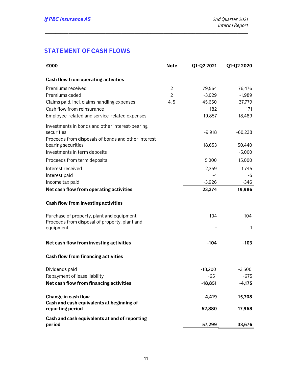# STATEMENT OF CASH FLOWS

| €000                                                          | <b>Note</b>    | Q1-Q2 2021 | Q1-Q2 2020 |
|---------------------------------------------------------------|----------------|------------|------------|
|                                                               |                |            |            |
| Cash flow from operating activities                           |                |            |            |
| Premiums received                                             | 2              | 79,564     | 76,476     |
| Premiums ceded                                                | $\overline{2}$ | $-3,029$   | $-1,989$   |
| Claims paid, incl. claims handling expenses                   | 4, 5           | $-45,650$  | $-37,779$  |
| Cash flow from reinsurance                                    |                | 182        | 171        |
| Employee-related and service-related expenses                 |                | $-19,857$  | $-18,489$  |
| Investments in bonds and other interest-bearing<br>securities |                | $-9,918$   | $-60,238$  |
| Proceeds from disposals of bonds and other interest-          |                |            |            |
| bearing securities                                            |                | 18,653     | 50,440     |
| Investments in term deposits                                  |                |            | $-5,000$   |
| Proceeds from term deposits                                   |                | 5,000      | 15,000     |
| Interest received                                             |                | 2,359      | 1,745      |
| Interest paid                                                 |                | -4         | $-5$       |
| Income tax paid                                               |                | $-3,926$   | $-346$     |
| Net cash flow from operating activities                       |                | 23,374     | 19,986     |
| Cash flow from investing activities                           |                |            |            |
| Purchase of property, plant and equipment                     |                | $-104$     | $-104$     |
| Proceeds from disposal of property, plant and                 |                |            |            |
| equipment                                                     |                |            | 1          |
| Net cash flow from investing activities                       |                | $-104$     | $-103$     |
| Cash flow from financing activities                           |                |            |            |
| Dividends paid                                                |                | $-18,200$  | $-3,500$   |
| Repayment of lease liability                                  |                | $-651$     | $-675$     |
| Net cash flow from financing activities                       |                | $-18,851$  | $-4,175$   |
| Change in cash flow                                           |                | 4,419      | 15,708     |
| Cash and cash equivalents at beginning of                     |                |            |            |
| reporting period                                              |                | 52,880     | 17,968     |
| Cash and cash equivalents at end of reporting<br>period       |                | 57,299     | 33,676     |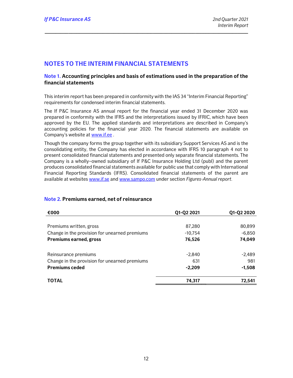## NOTES TO THE INTERIM FINANCIAL STATEMENTS

#### Note 1. Accounting principles and basis of estimations used in the preparation of the financial statements

\_\_\_\_\_\_\_\_\_\_\_\_\_\_\_\_\_\_\_\_\_\_\_\_\_\_\_\_\_\_\_\_\_\_\_\_\_\_\_\_\_\_\_\_\_\_\_\_\_\_\_\_\_\_\_\_\_\_\_\_\_\_\_\_\_\_\_\_\_\_\_\_\_\_\_\_\_

This interim report has been prepared in conformity with the IAS 34 "Interim Financial Reporting" requirements for condensed interim financial statements.

The If P&C Insurance AS annual report for the financial year ended 31 December 2020 was prepared in conformity with the IFRS and the interpretations issued by IFRIC, which have been approved by the EU. The applied standards and interpretations are described in Company's accounting policies for the financial year 2020. The financial statements are available on Company's website at www.if.ee .

Though the company forms the group together with its subsidiary Support Services AS and is the consolidating entity, the Company has elected in accordance with IFRS 10 paragraph 4 not to present consolidated financial statements and presented only separate financial statements. The Company is a wholly–owned subsidiary of If P&C Insurance Holding Ltd (publ) and the parent produces consolidated financial statements available for public use that comply with International Financial Reporting Standards (IFRS). Consolidated financial statements of the parent are available at websites www.if.se and www.sampo.com under section Figures-Annual report.

| €000                                          | Q1-Q2 2021 | Q1-Q2 2020 |
|-----------------------------------------------|------------|------------|
|                                               |            |            |
| Premiums written, gross                       | 87,280     | 80,899     |
| Change in the provision for unearned premiums | $-10,754$  | $-6,850$   |
| <b>Premiums earned, gross</b>                 | 76,526     | 74,049     |
|                                               |            |            |
| Reinsurance premiums                          | $-2,840$   | $-2,489$   |
| Change in the provision for unearned premiums | 631        | 981        |
| <b>Premiums ceded</b>                         | $-2,209$   | $-1,508$   |
| <b>TOTAL</b>                                  | 74,317     | 72.541     |

#### Note 2. Premiums earned, net of reinsurance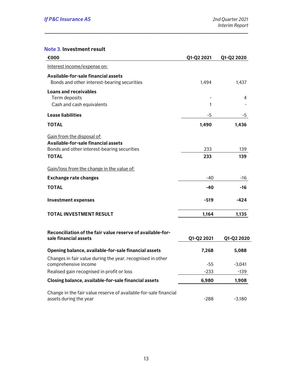## Note 3. Investment result

| €000                                                                                       | Q1-Q2 2021 | Q1-Q2 2020 |
|--------------------------------------------------------------------------------------------|------------|------------|
| Interest income/expense on:                                                                |            |            |
| Available-for-sale financial assets<br>Bonds and other interest-bearing securities         | 1,494      | 1,437      |
| <b>Loans and receivables</b><br>Term deposits                                              |            | 4          |
| Cash and cash equivalents                                                                  | 1          |            |
| Lease liabilities                                                                          | -5         | -5         |
| <b>TOTAL</b>                                                                               | 1,490      | 1,436      |
| Gain from the disposal of:                                                                 |            |            |
| Available-for-sale financial assets<br>Bonds and other interest-bearing securities         | 233        | 139        |
| <b>TOTAL</b>                                                                               | 233        | 139        |
| Gain/loss from the change in the value of:                                                 |            |            |
| <b>Exchange rate changes</b>                                                               | $-40$      | -16        |
| <b>TOTAL</b>                                                                               | -40        | -16        |
| <b>Investment expenses</b>                                                                 | $-519$     | -424       |
| <b>TOTAL INVESTMENT RESULT</b>                                                             | 1,164      | 1,135      |
| Reconciliation of the fair value reserve of available-for-<br>sale financial assets        | Q1-Q2 2021 | Q1-Q2 2020 |
| Opening balance, available-for-sale financial assets                                       | 7,268      | 5,088      |
| Changes in fair value during the year, recognised in other<br>comprehensive income         | $-55$      | $-3,041$   |
| Realised gain recognised in profit or loss                                                 | $-233$     | $-139$     |
| Closing balance, available-for-sale financial assets                                       | 6,980      | 1,908      |
| Change in the fair value reserve of available-for-sale financial<br>assets during the year | $-288$     | $-3,180$   |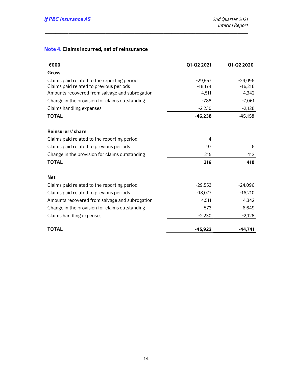## Note 4. Claims incurred, net of reinsurance

| €000                                           | Q1-Q2 2021 | Q1-Q2 2020 |
|------------------------------------------------|------------|------------|
| Gross                                          |            |            |
| Claims paid related to the reporting period    | $-29,557$  | $-24,096$  |
| Claims paid related to previous periods        | $-18,174$  | $-16,216$  |
| Amounts recovered from salvage and subrogation | 4,511      | 4,342      |
| Change in the provision for claims outstanding | $-788$     | $-7,061$   |
| Claims handling expenses                       | $-2,230$   | $-2,128$   |
| <b>TOTAL</b>                                   | $-46,238$  | $-45,159$  |
| Reinsurers' share                              |            |            |
| Claims paid related to the reporting period    | 4          |            |
| Claims paid related to previous periods        | 97         | 6          |
| Change in the provision for claims outstanding | 215        | 412        |
| <b>TOTAL</b>                                   | 316        | 418        |
| <b>Net</b>                                     |            |            |
| Claims paid related to the reporting period    | $-29,553$  | $-24,096$  |
| Claims paid related to previous periods        | $-18,077$  | $-16,210$  |
| Amounts recovered from salvage and subrogation | 4,511      | 4,342      |
| Change in the provision for claims outstanding | $-573$     | $-6,649$   |
| Claims handling expenses                       | $-2,230$   | $-2,128$   |
| <b>TOTAL</b>                                   | $-45,922$  | -44,741    |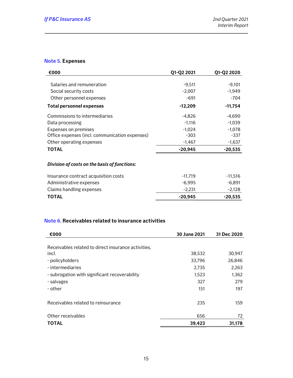## Note 5. Expenses

| €000                                           | Q1-Q2 2021 | Q1-Q2 2020 |
|------------------------------------------------|------------|------------|
|                                                |            |            |
| Salaries and remuneration                      | $-9,511$   | $-9,101$   |
| Social security costs                          | $-2,007$   | $-1,949$   |
| Other personnel expenses                       | $-691$     | $-704$     |
| <b>Total personnel expenses</b>                | $-12,209$  | $-11,754$  |
| Commissions to intermediaries                  | $-4,826$   | -4,690     |
| Data processing                                | $-1,116$   | $-1,039$   |
| <b>Expenses on premises</b>                    | $-1,024$   | $-1,078$   |
| Office expenses (incl. communication expenses) | $-303$     | $-337$     |
| Other operating expenses                       | $-1,467$   | $-1,637$   |
| TOTAL                                          | $-20,945$  | $-20,535$  |
|                                                |            |            |
| Division of costs on the basis of functions:   |            |            |
| Insurance contract acquisition costs           | $-11,719$  | $-11,516$  |
| Administrative expenses                        | $-6,995$   | -6.891     |
| Claims handling expenses                       | $-2,231$   | $-2,128$   |
| TOTAL                                          | $-20,945$  | $-20,535$  |

\_\_\_\_\_\_\_\_\_\_\_\_\_\_\_\_\_\_\_\_\_\_\_\_\_\_\_\_\_\_\_\_\_\_\_\_\_\_\_\_\_\_\_\_\_\_\_\_\_\_\_\_\_\_\_\_\_\_\_\_\_\_\_\_\_\_\_\_\_\_\_\_\_\_\_\_\_

## Note 6. Receivables related to insurance activities

| €000                                                | 30 June 2021 | 31 Dec 2020 |
|-----------------------------------------------------|--------------|-------------|
|                                                     |              |             |
| Receivables related to direct insurance activities, |              |             |
| incl.                                               | 38,532       | 30,947      |
| - policyholders                                     | 33,796       | 26,846      |
| - intermediaries                                    | 2,735        | 2,263       |
| - subrogation with significant recoverability       | 1,523        | 1,362       |
| - salvages                                          | 327          | 279         |
| - other                                             | 151          | 197         |
| Receivables related to reinsurance                  | 235          | 159         |
| Other receivables                                   | 656          | 72          |
| <b>TOTAL</b>                                        | 39,423       | 31,178      |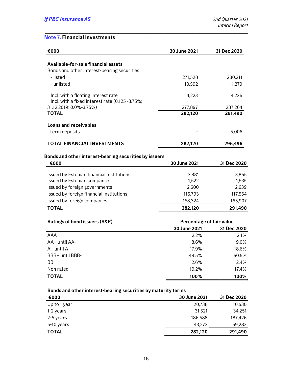## Note 7. Financial investments

| €000                                                          | 30 June 2021 | 31 Dec 2020              |  |  |
|---------------------------------------------------------------|--------------|--------------------------|--|--|
| Available-for-sale financial assets                           |              |                          |  |  |
| Bonds and other interest-bearing securities                   |              |                          |  |  |
| - listed                                                      | 271,528      | 280,211                  |  |  |
| - unlisted                                                    | 10,592       | 11,279                   |  |  |
|                                                               |              |                          |  |  |
| Incl. with a floating interest rate                           | 4,223        | 4,226                    |  |  |
| Incl. with a fixed interest rate (0.125 -3.75%;               |              |                          |  |  |
| 31.12.2019: 0.0%-3.75%)                                       | 277,897      | 287,264                  |  |  |
| <b>TOTAL</b>                                                  | 282,120      | 291,490                  |  |  |
| Loans and receivables                                         |              |                          |  |  |
| Term deposits                                                 |              | 5,006                    |  |  |
| <b>TOTAL FINANCIAL INVESTMENTS</b>                            | 282,120      | 296,496                  |  |  |
|                                                               |              |                          |  |  |
| Bonds and other interest-bearing securities by issuers        |              |                          |  |  |
| €000                                                          | 30 June 2021 | 31 Dec 2020              |  |  |
| Issued by Estonian financial institutions                     | 3,881        | 3,855                    |  |  |
| Issued by Estonian companies                                  | 1,522        | 1,535                    |  |  |
| Issued by foreign governments                                 | 2,600        | 2,639                    |  |  |
| Issued by foreign financial institutions                      | 115,793      | 117,554                  |  |  |
| Issued by foreign companies                                   | 158,324      | 165,907                  |  |  |
| <b>TOTAL</b>                                                  | 282,120      | 291,490                  |  |  |
|                                                               |              |                          |  |  |
| <b>Ratings of bond issuers (S&amp;P)</b>                      |              | Percentage of fair value |  |  |
|                                                               | 30 June 2021 | 31 Dec 2020              |  |  |
| <b>AAA</b>                                                    | 2.2%         | 2.1%                     |  |  |
| AA+ until AA-                                                 | 8.6%         | 9.0%                     |  |  |
| A+ until A-                                                   | 17.9%        | 18.6%                    |  |  |
| BBB+ until BBB-                                               | 49.5%        | 50.5%                    |  |  |
| ΒB                                                            | 2.6%         | 2.4%                     |  |  |
| Non rated                                                     | 19.2%        | 17.4%                    |  |  |
| <b>TOTAL</b>                                                  | 100%         | 100%                     |  |  |
|                                                               |              |                          |  |  |
| Bonds and other interest-bearing securities by maturity terms |              |                          |  |  |
| €000                                                          | 30 June 2021 | 31 Dec 2020              |  |  |
| Up to 1 year                                                  | 20,738       | 10,530                   |  |  |
| 1-2 years                                                     | 31,521       | 34,251                   |  |  |
| 2-5 years                                                     | 186,588      | 187,426                  |  |  |
| 5-10 years                                                    | 43,273       | 59,283                   |  |  |

\_\_\_\_\_\_\_\_\_\_\_\_\_\_\_\_\_\_\_\_\_\_\_\_\_\_\_\_\_\_\_\_\_\_\_\_\_\_\_\_\_\_\_\_\_\_\_\_\_\_\_\_\_\_\_\_\_\_\_\_\_\_\_\_\_\_\_\_\_\_\_\_\_\_\_\_\_

TOTAL 282,120 291,490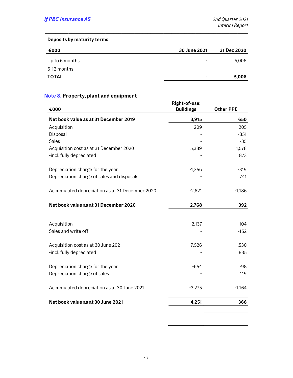#### Deposits by maturity terms

| €000           | 30 June 2021             | 31 Dec 2020 |
|----------------|--------------------------|-------------|
| Up to 6 months | $\overline{\phantom{0}}$ | 5,006       |
| 6-12 months    | $\overline{\phantom{0}}$ |             |
| <b>TOTAL</b>   | ۰                        | 5,006       |
|                |                          |             |

\_\_\_\_\_\_\_\_\_\_\_\_\_\_\_\_\_\_\_\_\_\_\_\_\_\_\_\_\_\_\_\_\_\_\_\_\_\_\_\_\_\_\_\_\_\_\_\_\_\_\_\_\_\_\_\_\_\_\_\_\_\_\_\_\_\_\_\_\_\_\_\_\_\_\_\_\_

# Note 8. Property, plant and equipment

| €000                                            | Right-of-use:<br><b>Buildings</b> | <b>Other PPE</b> |  |
|-------------------------------------------------|-----------------------------------|------------------|--|
| Net book value as at 31 December 2019           | 3,915                             | 650              |  |
| Acquisition                                     | 209                               | 205              |  |
| Disposal                                        |                                   | $-851$           |  |
| <b>Sales</b>                                    |                                   | $-35$            |  |
| Acquisition cost as at 31 December 2020         | 5,389                             | 1,578            |  |
| -incl. fully depreciated                        |                                   | 873              |  |
| Depreciation charge for the year                | $-1,356$                          | $-319$           |  |
| Depreciation charge of sales and disposals      |                                   | 741              |  |
| Accumulated depreciation as at 31 December 2020 | $-2,621$                          | $-1,186$         |  |
| Net book value as at 31 December 2020           | 2,768                             | 392              |  |
|                                                 |                                   |                  |  |
| Acquisition                                     | 2,137                             | 104              |  |
| Sales and write off                             |                                   | $-152$           |  |
| Acquisition cost as at 30 June 2021             | 7,526                             | 1,530            |  |
| -incl. fully depreciated                        |                                   | 835              |  |
| Depreciation charge for the year                | $-654$                            | $-98$            |  |
| Depreciation charge of sales                    |                                   | 119              |  |
| Accumulated depreciation as at 30 June 2021     | $-3,275$                          | $-1,164$         |  |
| Net book value as at 30 June 2021               | 4,251                             | 366              |  |
|                                                 |                                   |                  |  |

<u> 1980 - Johann Barn, mars an t-Amerikaansk politiker (</u>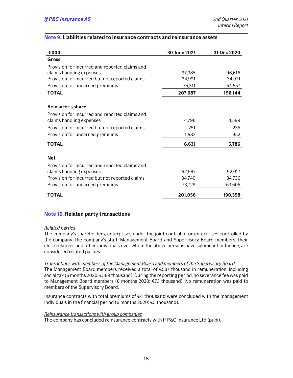#### Note 9. Liabilities related to insurance contracts and reinsurance assets

\_\_\_\_\_\_\_\_\_\_\_\_\_\_\_\_\_\_\_\_\_\_\_\_\_\_\_\_\_\_\_\_\_\_\_\_\_\_\_\_\_\_\_\_\_\_\_\_\_\_\_\_\_\_\_\_\_\_\_\_\_\_\_\_\_\_\_\_\_\_\_\_\_\_\_\_\_

| €000                                           | 30 June 2021 | 31 Dec 2020 |
|------------------------------------------------|--------------|-------------|
| Gross                                          |              |             |
| Provision for incurred and reported claims and |              |             |
| claims handling expenses                       | 97,385       | 96,616      |
| Provision for incurred but not reported claims | 34,991       | 34,971      |
| Provision for unearned premiums                | 75,311       | 64,557      |
| <b>TOTAL</b>                                   | 207,687      | 196,144     |
| Reinsurer's share                              |              |             |
| Provision for incurred and reported claims and |              |             |
| claims handling expenses                       | 4,798        | 4,599       |
| Provision for incurred but not reported claims | 251          | 235         |
| Provision for unearned premiums                | 1,582        | 952         |
| <b>TOTAL</b>                                   | 6,631        | 5,786       |
| <b>Net</b>                                     |              |             |
| Provision for incurred and reported claims and |              |             |
| claims handling expenses                       | 92,587       | 92,017      |
| Provision for incurred but not reported claims | 34,740       | 34,736      |
| Provision for unearned premiums                | 73,729       | 63,605      |
| <b>TOTAL</b>                                   | 201,056      | 190,358     |

#### Note 10. Related party transactions

#### Related parties

The company's shareholders, enterprises under the joint control of or enterprises controlled by the company, the company's staff, Management Board and Supervisory Board members, their close relatives and other individuals over whom the above persons have significant influence, are considered related parties.

Transactions with members of the Management Board and members of the Supervisory Board

The Management Board members received a total of €587 thousand in remuneration, including social tax (6 months 2020: €589 thousand). During the reporting period, no severance fee was paid to Management Board members (6 months 2020: €73 thousand). No remuneration was paid to members of the Supervisory Board.

Insurance contracts with total premiums of €4 thousand were concluded with the management individuals in the financial period (6 months 2020: €5 thousand).

#### Reinsurance transactions with group companies

The company has concluded reinsurance contracts with If P&C Insurance Ltd (publ).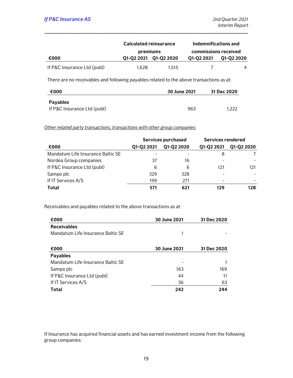|                             | Calculated reinsurance |                       | Indemnifications and |            |
|-----------------------------|------------------------|-----------------------|----------------------|------------|
|                             | premiums               |                       | commissions received |            |
| €000                        |                        | Q1-Q2 2021 Q1-Q2 2020 | 01-02 2021           | Q1-Q2 2020 |
| If P&C Insurance Ltd (publ) | 1.628                  | 1.515                 |                      |            |

\_\_\_\_\_\_\_\_\_\_\_\_\_\_\_\_\_\_\_\_\_\_\_\_\_\_\_\_\_\_\_\_\_\_\_\_\_\_\_\_\_\_\_\_\_\_\_\_\_\_\_\_\_\_\_\_\_\_\_\_\_\_\_\_\_\_\_\_\_\_\_\_\_\_\_\_\_

There are no receivables and following payables related to the above transactions as at:

| €000                        | 30 June 2021 | 31 Dec 2020 |  |
|-----------------------------|--------------|-------------|--|
| Payables                    |              |             |  |
| If P&C Insurance Ltd (publ) | 963          | 1.222       |  |

Other related party transactions, transactions with other group companies

|                                   | Services purchased |            | Services rendered |            |
|-----------------------------------|--------------------|------------|-------------------|------------|
| €000                              | Q1-Q2 2021         | Q1-Q2 2020 | Q1-Q2 2021        | Q1-Q2 2020 |
| Mandatum Life Insurance Baltic SE |                    |            | 8                 |            |
| Nordea Group companies            | 37                 | 16         |                   |            |
| If P&C Insurance Ltd (publ)       | 6                  | 6          | 121               | 121        |
| Sampo plc                         | 329                | 328        |                   |            |
| If IT Services A/S                | 199                | 271        |                   |            |
| Total                             | 571                | 621        | 129               | 128        |

Receivables and payables related to the above transactions as at:

| €000                              | 30 June 2021 | 31 Dec 2020 |
|-----------------------------------|--------------|-------------|
| <b>Receivables</b>                |              |             |
| Mandatum Life Insurance Baltic SE |              |             |
|                                   |              |             |
| €000                              | 30 June 2021 | 31 Dec 2020 |
| <b>Payables</b>                   |              |             |
| Mandatum Life Insurance Baltic SE |              |             |
| Sampo plc                         | 163          | 169         |
| If P&C Insurance Ltd (publ)       | 44           | 11          |
| If IT Services A/S                | 36           | 63          |
| Total                             | 242          | 244         |

If Insurance has acquired financial assets and has earned investment income from the following group companies: